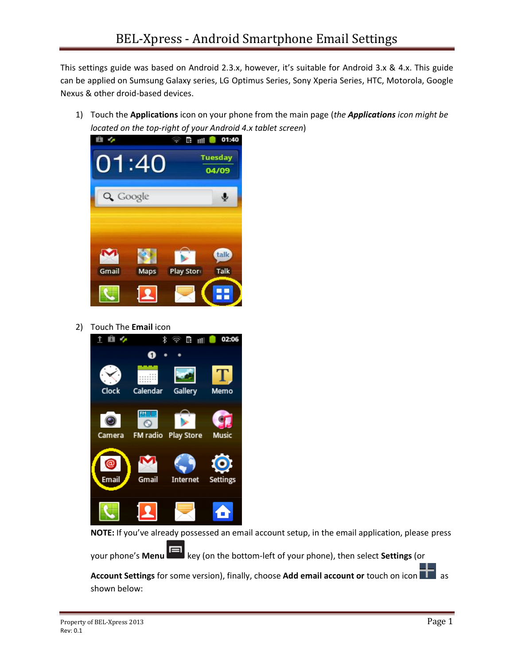This settings guide was based on Android 2.3.x, however, it's suitable for Android 3.x & 4.x. This guide can be applied on Sumsung Galaxy series, LG Optimus Series, Sony Xperia Series, HTC, Motorola, Google Nexus & other droid-based devices.

1) Touch the **Applications** icon on your phone from the main page (*the Applications icon might be located on the top-right of your Android 4.x tablet screen*)



2) Touch The **Email** icon



**NOTE:** If you've already possessed an email account setup, in the email application, please press

your phone's **Menu** key (on the bottom-left of your phone), then select **Settings** (or

**Account Settings** for some version), finally, choose Add email account or touch on icon **and a** as shown below: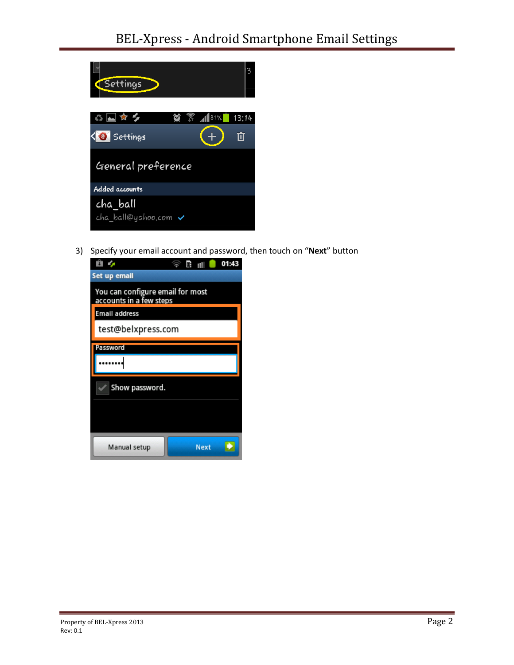

3) Specify your email account and password, then touch on "**Next**" button

| Ĥ                                                           | 甲<br>пH<br><b>S</b> | 01:43 |
|-------------------------------------------------------------|---------------------|-------|
| Set up email                                                |                     |       |
| You can configure email for most<br>accounts in a few steps |                     |       |
| Email address                                               |                     |       |
| test@belxpress.com                                          |                     |       |
| Password                                                    |                     |       |
|                                                             |                     |       |
| Show password.                                              |                     |       |
|                                                             |                     |       |
|                                                             |                     |       |
| Manual setup                                                | <b>Next</b>         |       |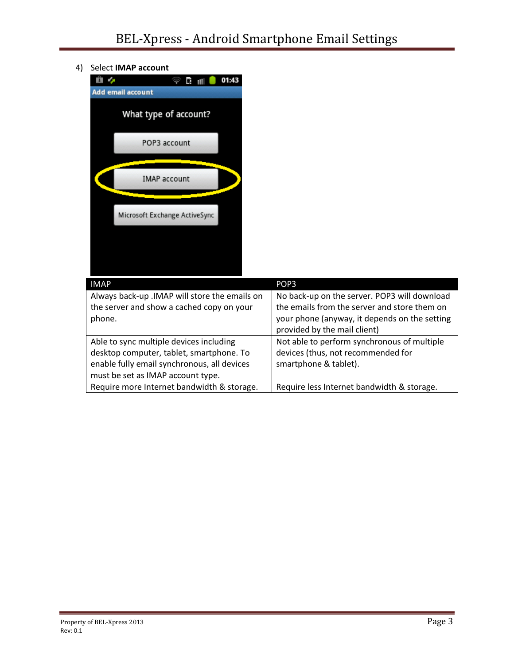4) Select **IMAP account**



| <b>IMAP</b>                                                                                          | POP <sub>3</sub>                                                                                                                                                              |  |
|------------------------------------------------------------------------------------------------------|-------------------------------------------------------------------------------------------------------------------------------------------------------------------------------|--|
| Always back-up .IMAP will store the emails on<br>the server and show a cached copy on your<br>phone. | No back-up on the server. POP3 will download<br>the emails from the server and store them on<br>your phone (anyway, it depends on the setting<br>provided by the mail client) |  |
| Able to sync multiple devices including                                                              | Not able to perform synchronous of multiple                                                                                                                                   |  |
| desktop computer, tablet, smartphone. To                                                             | devices (thus, not recommended for                                                                                                                                            |  |
| enable fully email synchronous, all devices                                                          | smartphone & tablet).                                                                                                                                                         |  |
| must be set as IMAP account type.                                                                    |                                                                                                                                                                               |  |
| Require more Internet bandwidth & storage.                                                           | Require less Internet bandwidth & storage.                                                                                                                                    |  |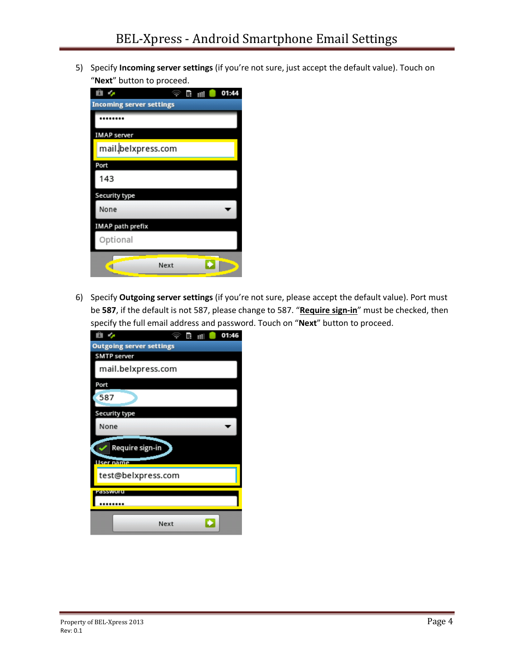5) Specify **Incoming server settings** (if you're not sure, just accept the default value). Touch on "**Next**" button to proceed.

|                                 | 01:44<br>町<br>ıШ |
|---------------------------------|------------------|
| <b>Incoming server settings</b> |                  |
|                                 |                  |
| IMAP server                     |                  |
| mail.belxpress.com              |                  |
| Port                            |                  |
| 143                             |                  |
| Security type                   |                  |
| None                            |                  |
| <b>IMAP</b> path prefix         |                  |
| Optional                        |                  |
| Next                            |                  |

6) Specify **Outgoing server settings** (if you're not sure, please accept the default value). Port must be **587**, if the default is not 587, please change to 587. "**Require sign-in**" must be checked, then specify the full email address and password. Touch on "**Next**" button to proceed.